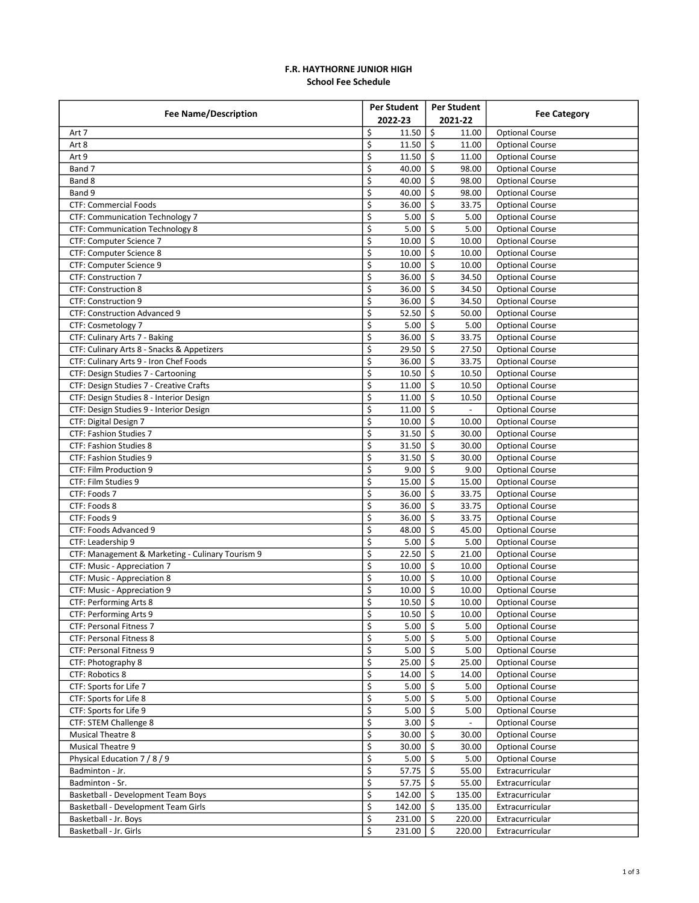## F.R. HAYTHORNE JUNIOR HIGH School Fee Schedule

| <b>Fee Name/Description</b>                      | Per Student                                        | <b>Per Student</b> |                        |
|--------------------------------------------------|----------------------------------------------------|--------------------|------------------------|
|                                                  | 2022-23                                            | 2021-22            | <b>Fee Category</b>    |
| Art 7                                            | \$<br>11.50                                        | \$<br>11.00        | <b>Optional Course</b> |
| Art 8                                            | \$<br>11.50                                        | \$<br>11.00        | <b>Optional Course</b> |
| Art 9                                            | \$<br>11.50                                        | \$<br>11.00        | <b>Optional Course</b> |
| Band 7                                           | \$<br>40.00                                        | \$<br>98.00        | <b>Optional Course</b> |
| Band 8                                           | \$<br>40.00                                        | Ŝ.<br>98.00        | <b>Optional Course</b> |
| Band 9                                           | \$<br>40.00                                        | Ŝ.<br>98.00        | <b>Optional Course</b> |
| <b>CTF: Commercial Foods</b>                     | \$<br>36.00                                        | Ŝ.<br>33.75        | <b>Optional Course</b> |
| <b>CTF: Communication Technology 7</b>           | \$<br>5.00                                         | Ś.<br>5.00         | <b>Optional Course</b> |
| <b>CTF: Communication Technology 8</b>           | \$<br>5.00                                         | Ŝ.<br>5.00         | <b>Optional Course</b> |
| CTF: Computer Science 7                          | \$<br>10.00                                        | \$<br>10.00        | <b>Optional Course</b> |
| CTF: Computer Science 8                          | \$<br>10.00                                        | Ŝ.<br>10.00        | <b>Optional Course</b> |
| CTF: Computer Science 9                          | \$<br>10.00                                        | Ś.<br>10.00        | <b>Optional Course</b> |
| <b>CTF: Construction 7</b>                       | \$<br>36.00                                        | Ŝ.<br>34.50        | <b>Optional Course</b> |
| <b>CTF: Construction 8</b>                       | \$<br>36.00                                        | \$<br>34.50        | <b>Optional Course</b> |
| CTF: Construction 9                              | \$<br>36.00                                        | \$<br>34.50        | <b>Optional Course</b> |
| <b>CTF: Construction Advanced 9</b>              | \$<br>52.50                                        | \$<br>50.00        | <b>Optional Course</b> |
| CTF: Cosmetology 7                               | \$<br>5.00                                         | Ŝ.<br>5.00         | <b>Optional Course</b> |
| CTF: Culinary Arts 7 - Baking                    | \$<br>36.00                                        | 33.75<br>\$        | <b>Optional Course</b> |
| CTF: Culinary Arts 8 - Snacks & Appetizers       | \$<br>29.50                                        | Ŝ.<br>27.50        | <b>Optional Course</b> |
| CTF: Culinary Arts 9 - Iron Chef Foods           | \$<br>36.00                                        | Ŝ.<br>33.75        | <b>Optional Course</b> |
| CTF: Design Studies 7 - Cartooning               | \$<br>10.50                                        | Ŝ.<br>10.50        | <b>Optional Course</b> |
| CTF: Design Studies 7 - Creative Crafts          | \$<br>11.00                                        | \$<br>10.50        | <b>Optional Course</b> |
|                                                  |                                                    |                    |                        |
| CTF: Design Studies 8 - Interior Design          | \$<br>11.00<br>$\overline{\boldsymbol{\varsigma}}$ | \$<br>10.50        | <b>Optional Course</b> |
| CTF: Design Studies 9 - Interior Design          | 11.00                                              | Ś.<br>\$           | <b>Optional Course</b> |
| CTF: Digital Design 7                            | \$<br>10.00                                        | 10.00              | <b>Optional Course</b> |
| CTF: Fashion Studies 7                           | \$<br>31.50                                        | \$<br>30.00        | <b>Optional Course</b> |
| <b>CTF: Fashion Studies 8</b>                    | \$<br>31.50                                        | \$<br>30.00        | <b>Optional Course</b> |
| <b>CTF: Fashion Studies 9</b>                    | \$<br>31.50                                        | \$<br>30.00        | <b>Optional Course</b> |
| CTF: Film Production 9                           | \$<br>9.00                                         | Ś.<br>9.00         | <b>Optional Course</b> |
| CTF: Film Studies 9                              | \$<br>15.00                                        | Ŝ.<br>15.00        | <b>Optional Course</b> |
| CTF: Foods 7                                     | \$<br>36.00                                        | Ŝ.<br>33.75        | <b>Optional Course</b> |
| CTF: Foods 8                                     | \$<br>36.00                                        | Ŝ.<br>33.75        | <b>Optional Course</b> |
| CTF: Foods 9                                     | \$<br>36.00                                        | Ś.<br>33.75        | <b>Optional Course</b> |
| CTF: Foods Advanced 9                            | \$<br>48.00                                        | Ŝ.<br>45.00        | <b>Optional Course</b> |
| CTF: Leadership 9                                | \$<br>5.00                                         | \$<br>5.00         | <b>Optional Course</b> |
| CTF: Management & Marketing - Culinary Tourism 9 | \$<br>22.50                                        | \$<br>21.00        | <b>Optional Course</b> |
| CTF: Music - Appreciation 7                      | \$<br>10.00                                        | Ś.<br>10.00        | <b>Optional Course</b> |
| CTF: Music - Appreciation 8                      | \$<br>10.00                                        | Ŝ.<br>10.00        | <b>Optional Course</b> |
| CTF: Music - Appreciation 9                      | \$<br>10.00                                        | Ŝ.<br>10.00        | <b>Optional Course</b> |
| CTF: Performing Arts 8                           | \$<br>10.50                                        | \$<br>10.00        | <b>Optional Course</b> |
| CTF: Performing Arts 9                           | $\overline{\mathsf{S}}$<br>$10.50$ \$              | 10.00              | <b>Optional Course</b> |
| CTF: Personal Fitness 7                          | \$<br>$5.00$   \$                                  | 5.00               | <b>Optional Course</b> |
| CTF: Personal Fitness 8                          | \$<br>$5.00$   \$                                  | 5.00               | <b>Optional Course</b> |
| CTF: Personal Fitness 9                          | \$<br>5.00                                         | \$<br>5.00         | <b>Optional Course</b> |
| CTF: Photography 8                               | \$<br>25.00                                        | \$<br>25.00        | <b>Optional Course</b> |
| <b>CTF: Robotics 8</b>                           | \$<br>14.00                                        | \$<br>14.00        | <b>Optional Course</b> |
| CTF: Sports for Life 7                           | \$<br>5.00                                         | \$<br>5.00         | <b>Optional Course</b> |
| CTF: Sports for Life 8                           | \$<br>5.00                                         | \$<br>5.00         | <b>Optional Course</b> |
| CTF: Sports for Life 9                           | \$<br>5.00                                         | \$<br>5.00         | <b>Optional Course</b> |
| CTF: STEM Challenge 8                            | \$<br>3.00                                         | $\zeta$            | <b>Optional Course</b> |
| Musical Theatre 8                                | \$<br>30.00                                        | \$<br>30.00        | <b>Optional Course</b> |
| <b>Musical Theatre 9</b>                         | \$<br>30.00                                        | \$<br>30.00        | <b>Optional Course</b> |
| Physical Education 7 / 8 / 9                     | \$<br>5.00                                         | \$<br>5.00         | <b>Optional Course</b> |
| Badminton - Jr.                                  | \$<br>57.75                                        | \$<br>55.00        | Extracurricular        |
| Badminton - Sr.                                  | \$<br>57.75                                        | \$<br>55.00        | Extracurricular        |
| Basketball - Development Team Boys               | \$<br>142.00                                       | 135.00<br>\$       | Extracurricular        |
| Basketball - Development Team Girls              | \$<br>142.00                                       | 135.00<br>Ŝ.       | Extracurricular        |
| Basketball - Jr. Boys                            | \$<br>231.00                                       | \$<br>220.00       | Extracurricular        |
| Basketball - Jr. Girls                           | \$<br>231.00                                       | \$<br>220.00       | Extracurricular        |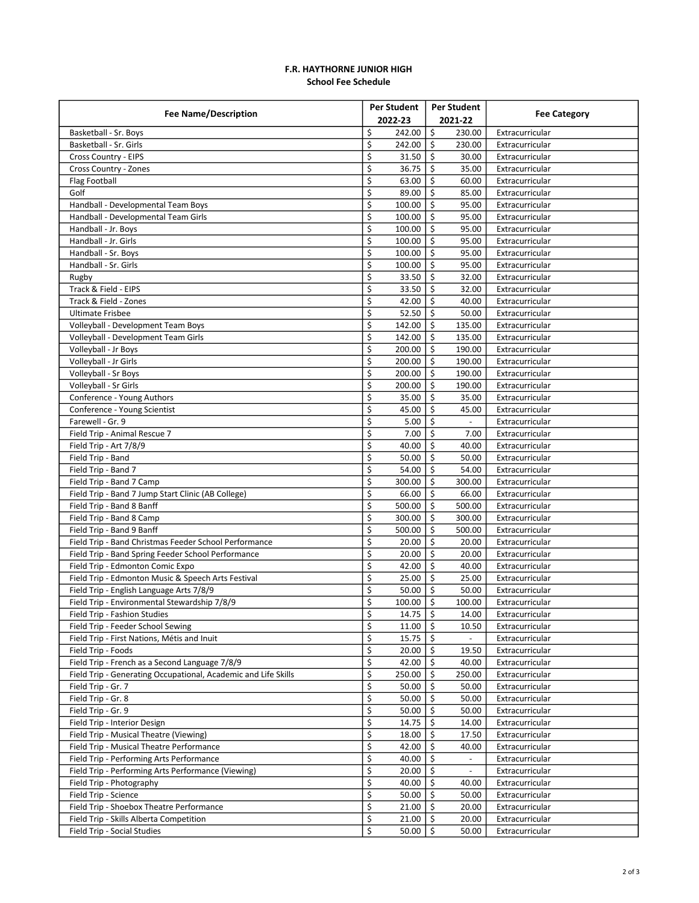## F.R. HAYTHORNE JUNIOR HIGH School Fee Schedule

| <b>Fee Name/Description</b>                                    | Per Student                 |     | Per Student              |                     |
|----------------------------------------------------------------|-----------------------------|-----|--------------------------|---------------------|
|                                                                | 2022-23                     |     | 2021-22                  | <b>Fee Category</b> |
| Basketball - Sr. Boys                                          | \$<br>242.00                | \$  | 230.00                   | Extracurricular     |
| Basketball - Sr. Girls                                         | \$<br>242.00                | \$  | 230.00                   | Extracurricular     |
| Cross Country - EIPS                                           | \$<br>31.50                 | \$  | 30.00                    | Extracurricular     |
| Cross Country - Zones                                          | \$<br>36.75                 | \$  | 35.00                    | Extracurricular     |
| Flag Football                                                  | \$<br>63.00                 | Ŝ.  | 60.00                    | Extracurricular     |
| Golf                                                           | \$<br>89.00                 | \$  | 85.00                    | Extracurricular     |
| Handball - Developmental Team Boys                             | \$<br>100.00                | \$. | 95.00                    | Extracurricular     |
| Handball - Developmental Team Girls                            | \$<br>100.00                | \$  | 95.00                    | Extracurricular     |
| Handball - Jr. Boys                                            | \$<br>100.00                | -Ś  | 95.00                    | Extracurricular     |
| Handball - Jr. Girls                                           | \$<br>100.00                | \$  | 95.00                    | Extracurricular     |
| Handball - Sr. Boys                                            | \$<br>100.00                | \$  | 95.00                    | Extracurricular     |
| Handball - Sr. Girls                                           | \$<br>100.00                | \$  | 95.00                    | Extracurricular     |
| Rugby                                                          | \$<br>$33.50$ $\frac{1}{5}$ |     | 32.00                    | Extracurricular     |
| Track & Field - EIPS                                           | \$<br>33.50                 | \$  | 32.00                    | Extracurricular     |
| Track & Field - Zones                                          | \$<br>42.00                 | \$  | 40.00                    | Extracurricular     |
|                                                                | \$                          |     |                          |                     |
| <b>Ultimate Frisbee</b>                                        | 52.50                       | \$  | 50.00                    | Extracurricular     |
| Volleyball - Development Team Boys                             | \$<br>142.00                | Ŝ.  | 135.00                   | Extracurricular     |
| Volleyball - Development Team Girls                            | \$<br>142.00                | \$  | 135.00                   | Extracurricular     |
| Volleyball - Jr Boys                                           | \$<br>200.00                | \$  | 190.00                   | Extracurricular     |
| Volleyball - Jr Girls                                          | \$<br>200.00                | \$  | 190.00                   | Extracurricular     |
| Volleyball - Sr Boys                                           | \$<br>200.00                | Ŝ.  | 190.00                   | Extracurricular     |
| Volleyball - Sr Girls                                          | \$<br>200.00                | \$  | 190.00                   | Extracurricular     |
| Conference - Young Authors                                     | \$<br>35.00                 | \$  | 35.00                    | Extracurricular     |
| Conference - Young Scientist                                   | \$<br>45.00                 | \$  | 45.00                    | Extracurricular     |
| Farewell - Gr. 9                                               | \$<br>5.00                  | Ŝ.  |                          | Extracurricular     |
| Field Trip - Animal Rescue 7                                   | \$<br>7.00                  | Ŝ.  | 7.00                     | Extracurricular     |
| Field Trip - Art 7/8/9                                         | \$<br>40.00                 | \$  | 40.00                    | Extracurricular     |
| Field Trip - Band                                              | \$<br>50.00                 | Ŝ.  | 50.00                    | Extracurricular     |
| Field Trip - Band 7                                            | \$<br>54.00                 | \$  | 54.00                    | Extracurricular     |
| Field Trip - Band 7 Camp                                       | \$<br>300.00                | Ŝ.  | 300.00                   | Extracurricular     |
| Field Trip - Band 7 Jump Start Clinic (AB College)             | \$<br>66.00                 | \$  | 66.00                    | Extracurricular     |
| Field Trip - Band 8 Banff                                      | \$<br>500.00                | \$. | 500.00                   | Extracurricular     |
| Field Trip - Band 8 Camp                                       | \$<br>300.00                | \$  | 300.00                   | Extracurricular     |
| Field Trip - Band 9 Banff                                      | \$<br>500.00                | Ŝ.  | 500.00                   | Extracurricular     |
| Field Trip - Band Christmas Feeder School Performance          | \$<br>20.00                 | \$  | 20.00                    | Extracurricular     |
| Field Trip - Band Spring Feeder School Performance             | \$<br>20.00                 | \$  | 20.00                    | Extracurricular     |
| Field Trip - Edmonton Comic Expo                               | \$<br>42.00                 | \$  | 40.00                    | Extracurricular     |
| Field Trip - Edmonton Music & Speech Arts Festival             | \$<br>$25.00$   \$          |     | 25.00                    | Extracurricular     |
| Field Trip - English Language Arts 7/8/9                       | \$<br>50.00                 | \$  | 50.00                    | Extracurricular     |
| Field Trip - Environmental Stewardship 7/8/9                   | \$<br>100.00                | -\$ | 100.00                   | Extracurricular     |
| Field Trip - Fashion Studies                                   | \$<br>$14.75$ \$            |     | 14.00                    | Extracurricular     |
| Field Trip - Feeder School Sewing                              | \$<br>11.00 $\frac{1}{2}$   |     | 10.50                    | Extracurricular     |
| Field Trip - First Nations, Métis and Inuit                    | \$<br>$15.75$ $\frac{1}{5}$ |     |                          | Extracurricular     |
| Field Trip - Foods                                             | \$<br>$20.00$   \$          |     | 19.50                    | Extracurricular     |
| Field Trip - French as a Second Language 7/8/9                 | \$<br>42.00 $\frac{1}{5}$   |     | 40.00                    | Extracurricular     |
| Field Trip - Generating Occupational, Academic and Life Skills | \$<br>250.00                | \$  | 250.00                   | Extracurricular     |
| Field Trip - Gr. 7                                             | \$<br>50.00                 | \$  | 50.00                    | Extracurricular     |
| Field Trip - Gr. 8                                             | \$<br>50.00                 | \$  | 50.00                    | Extracurricular     |
| Field Trip - Gr. 9                                             | \$<br>50.00                 | -\$ | 50.00                    | Extracurricular     |
| Field Trip - Interior Design                                   | \$<br>14.75                 | \$  | 14.00                    |                     |
|                                                                | \$                          |     |                          | Extracurricular     |
| Field Trip - Musical Theatre (Viewing)                         | 18.00                       | \$  | 17.50                    | Extracurricular     |
| Field Trip - Musical Theatre Performance                       | \$<br>42.00                 | \$  | 40.00                    | Extracurricular     |
| Field Trip - Performing Arts Performance                       | \$<br>40.00                 | \$  | $\overline{\phantom{a}}$ | Extracurricular     |
| Field Trip - Performing Arts Performance (Viewing)             | \$<br>20.00                 | \$  |                          | Extracurricular     |
| Field Trip - Photography                                       | \$<br>40.00                 | \$  | 40.00                    | Extracurricular     |
| Field Trip - Science                                           | \$<br>50.00                 | \$  | 50.00                    | Extracurricular     |
| Field Trip - Shoebox Theatre Performance                       | \$<br>21.00                 | -\$ | 20.00                    | Extracurricular     |
| Field Trip - Skills Alberta Competition                        | \$<br>21.00                 | \$  | 20.00                    | Extracurricular     |
| Field Trip - Social Studies                                    | \$<br>$50.00$   \$          |     | 50.00                    | Extracurricular     |